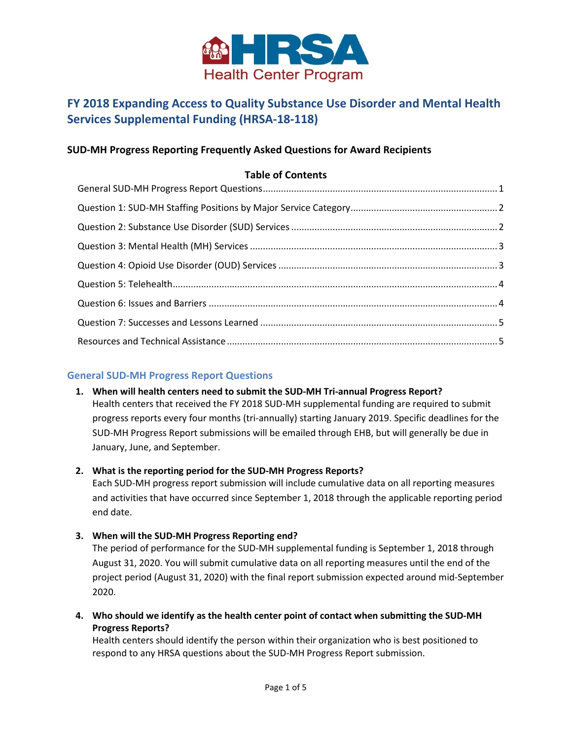

# **FY 2018 Expanding Access to Quality Substance Use Disorder and Mental Health Services Supplemental Funding (HRSA-18-118)**

# **SUD-MH Progress Reporting Frequently Asked Questions for Award Recipients**

## **Table of Contents**

## <span id="page-0-0"></span>**General SUD-MH Progress Report Questions**

#### **1. When will health centers need to submit the SUD-MH Tri-annual Progress Report?**

Health centers that received the FY 2018 SUD-MH supplemental funding are required to submit progress reports every four months (tri-annually) starting January 2019. Specific deadlines for the SUD-MH Progress Report submissions will be emailed through EHB, but will generally be due in January, June, and September.

#### **2. What is the reporting period for the SUD-MH Progress Reports?**

Each SUD-MH progress report submission will include cumulative data on all reporting measures and activities that have occurred since September 1, 2018 through the applicable reporting period end date.

**3. When will the SUD-MH Progress Reporting end?**

The period of performance for the SUD-MH supplemental funding is September 1, 2018 through August 31, 2020. You will submit cumulative data on all reporting measures until the end of the project period (August 31, 2020) with the final report submission expected around mid-September 2020.

**4. Who should we identify as the health center point of contact when submitting the SUD-MH Progress Reports?**

Health centers should identify the person within their organization who is best positioned to respond to any HRSA questions about the SUD-MH Progress Report submission.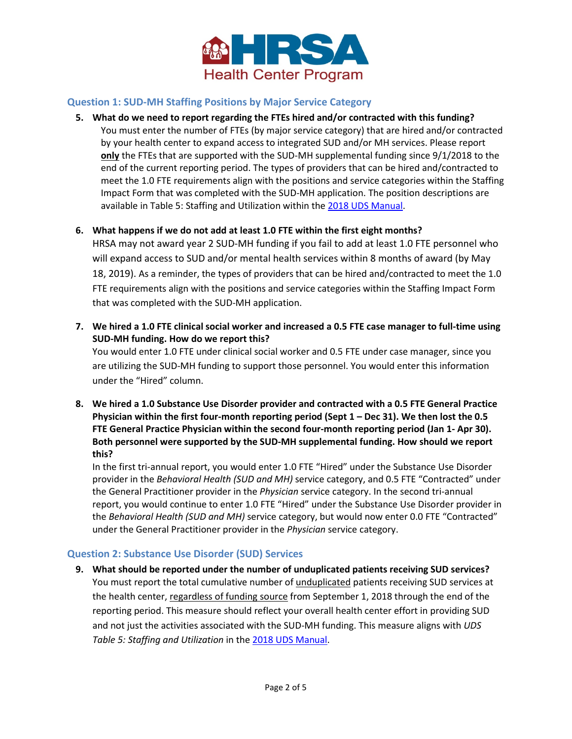

## <span id="page-1-0"></span>**Question 1: SUD-MH Staffing Positions by Major Service Category**

- **5. What do we need to report regarding the FTEs hired and/or contracted with this funding?** You must enter the number of FTEs (by major service category) that are hired and/or contracted by your health center to expand access to integrated SUD and/or MH services. Please report **only** the FTEs that are supported with the SUD-MH supplemental funding since 9/1/2018 to the end of the current reporting period. The types of providers that can be hired and/contracted to meet the 1.0 FTE requirements align with the positions and service categories within the Staffing Impact Form that was completed with the SUD-MH application. The position descriptions are available in Table 5: Staffing and Utilization within the [2018 UDS Manual.](https://bphc.hrsa.gov/datareporting/reporting/2018-uds-reporting-manual.pdf)
- **6. What happens if we do not add at least 1.0 FTE within the first eight months?**

HRSA may not award year 2 SUD-MH funding if you fail to add at least 1.0 FTE personnel who will expand access to SUD and/or mental health services within 8 months of award (by May 18, 2019). As a reminder, the types of providers that can be hired and/contracted to meet the 1.0 FTE requirements align with the positions and service categories within the Staffing Impact Form that was completed with the SUD-MH application.

**7. We hired a 1.0 FTE clinical social worker and increased a 0.5 FTE case manager to full-time using SUD-MH funding. How do we report this?**

You would enter 1.0 FTE under clinical social worker and 0.5 FTE under case manager, since you are utilizing the SUD-MH funding to support those personnel. You would enter this information under the "Hired" column.

**8. We hired a 1.0 Substance Use Disorder provider and contracted with a 0.5 FTE General Practice Physician within the first four-month reporting period (Sept 1 – Dec 31). We then lost the 0.5 FTE General Practice Physician within the second four-month reporting period (Jan 1- Apr 30). Both personnel were supported by the SUD-MH supplemental funding. How should we report this?**

In the first tri-annual report, you would enter 1.0 FTE "Hired" under the Substance Use Disorder provider in the *Behavioral Health (SUD and MH)* service category, and 0.5 FTE "Contracted" under the General Practitioner provider in the *Physician* service category. In the second tri-annual report, you would continue to enter 1.0 FTE "Hired" under the Substance Use Disorder provider in the *Behavioral Health (SUD and MH)* service category, but would now enter 0.0 FTE "Contracted" under the General Practitioner provider in the *Physician* service category.

## <span id="page-1-1"></span>**Question 2: Substance Use Disorder (SUD) Services**

**9. What should be reported under the number of unduplicated patients receiving SUD services?** You must report the total cumulative number of unduplicated patients receiving SUD services at the health center, regardless of funding source from September 1, 2018 through the end of the reporting period. This measure should reflect your overall health center effort in providing SUD and not just the activities associated with the SUD-MH funding. This measure aligns with *UDS Table 5: Staffing and Utilization* in the [2018 UDS Manual.](https://bphc.hrsa.gov/datareporting/reporting/2018-uds-reporting-manual.pdf)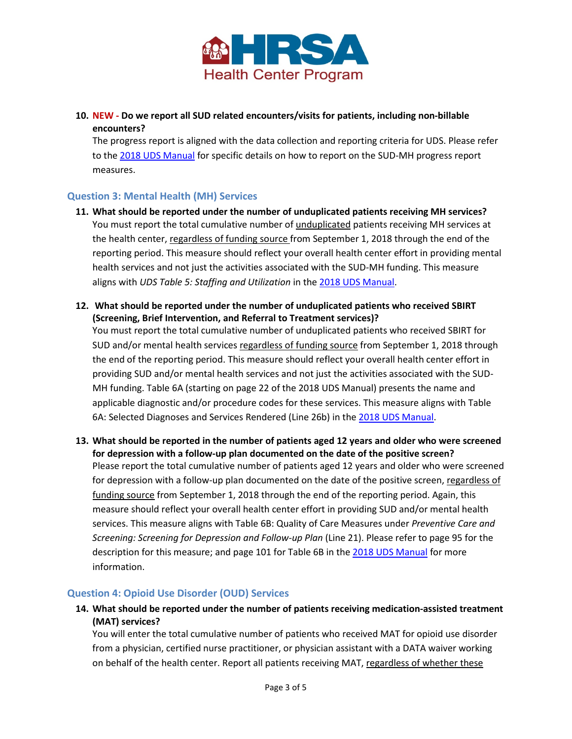

# **10. NEW - Do we report all SUD related encounters/visits for patients, including non-billable encounters?**

The progress report is aligned with the data collection and reporting criteria for UDS. Please refer to the [2018 UDS Manual](https://bphc.hrsa.gov/sites/default/files/bphc/datareporting/reporting/2018-uds-reporting-manual.pdf) for specific details on how to report on the SUD-MH progress report measures.

# <span id="page-2-0"></span>**Question 3: Mental Health (MH) Services**

- **11. What should be reported under the number of unduplicated patients receiving MH services?** You must report the total cumulative number of unduplicated patients receiving MH services at the health center, regardless of funding source from September 1, 2018 through the end of the reporting period. This measure should reflect your overall health center effort in providing mental health services and not just the activities associated with the SUD-MH funding. This measure aligns with *UDS Table 5: Staffing and Utilization* in the [2018 UDS Manual.](https://bphc.hrsa.gov/datareporting/reporting/2018-uds-reporting-manual.pdf)
- **12. What should be reported under the number of unduplicated patients who received SBIRT (Screening, Brief Intervention, and Referral to Treatment services)?**

You must report the total cumulative number of unduplicated patients who received SBIRT for SUD and/or mental health services regardless of funding source from September 1, 2018 through the end of the reporting period. This measure should reflect your overall health center effort in providing SUD and/or mental health services and not just the activities associated with the SUD-MH funding. Table 6A (starting on page 22 of the 2018 UDS Manual) presents the name and applicable diagnostic and/or procedure codes for these services. This measure aligns with Table 6A: Selected Diagnoses and Services Rendered (Line 26b) in the [2018 UDS Manual.](https://bphc.hrsa.gov/datareporting/reporting/2018-uds-reporting-manual.pdf)

**13. What should be reported in the number of patients aged 12 years and older who were screened for depression with a follow-up plan documented on the date of the positive screen?** Please report the total cumulative number of patients aged 12 years and older who were screened for depression with a follow-up plan documented on the date of the positive screen, regardless of funding source from September 1, 2018 through the end of the reporting period. Again, this measure should reflect your overall health center effort in providing SUD and/or mental health services. This measure aligns with Table 6B: Quality of Care Measures under *Preventive Care and Screening: Screening for Depression and Follow-up Plan* (Line 21). Please refer to page 95 for the description for this measure; and page 101 for Table 6B in th[e 2018 UDS Manual](https://bphc.hrsa.gov/datareporting/reporting/2018-uds-reporting-manual.pdf) for more information.

## <span id="page-2-1"></span>**Question 4: Opioid Use Disorder (OUD) Services**

**14. What should be reported under the number of patients receiving medication-assisted treatment (MAT) services?**

You will enter the total cumulative number of patients who received MAT for opioid use disorder from a physician, certified nurse practitioner, or physician assistant with a DATA waiver working on behalf of the health center. Report all patients receiving MAT, regardless of whether these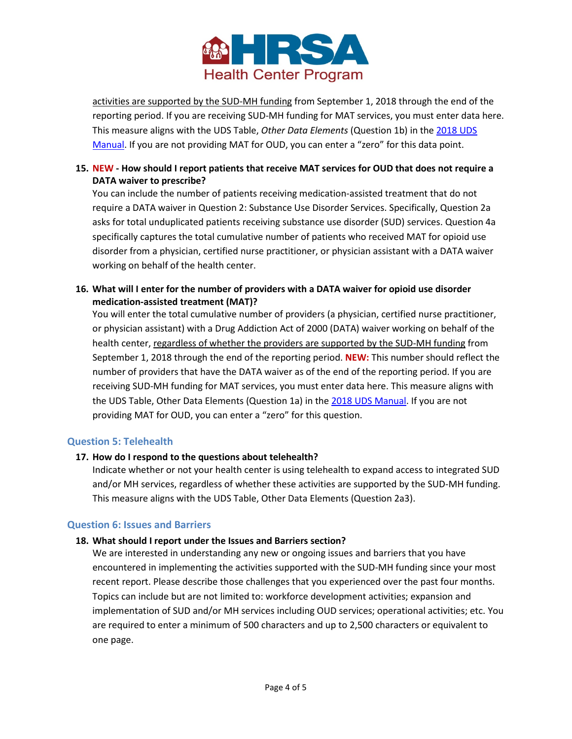

activities are supported by the SUD-MH funding from September 1, 2018 through the end of the reporting period. If you are receiving SUD-MH funding for MAT services, you must enter data here. This measure aligns with the UDS Table, *Other Data Elements* (Question 1b) in the [2018 UDS](https://bphc.hrsa.gov/datareporting/reporting/2018-uds-reporting-manual.pdf)  [Manual.](https://bphc.hrsa.gov/datareporting/reporting/2018-uds-reporting-manual.pdf) If you are not providing MAT for OUD, you can enter a "zero" for this data point.

## **15. NEW - How should I report patients that receive MAT services for OUD that does not require a DATA waiver to prescribe?**

You can include the number of patients receiving medication-assisted treatment that do not require a DATA waiver in Question 2: Substance Use Disorder Services. Specifically, Question 2a asks for total unduplicated patients receiving substance use disorder (SUD) services. Question 4a specifically captures the total cumulative number of patients who received MAT for opioid use disorder from a physician, certified nurse practitioner, or physician assistant with a DATA waiver working on behalf of the health center.

**16. What will I enter for the number of providers with a DATA waiver for opioid use disorder medication-assisted treatment (MAT)?**

You will enter the total cumulative number of providers (a physician, certified nurse practitioner, or physician assistant) with a Drug Addiction Act of 2000 (DATA) waiver working on behalf of the health center, regardless of whether the providers are supported by the SUD-MH funding from September 1, 2018 through the end of the reporting period. **NEW:** This number should reflect the number of providers that have the DATA waiver as of the end of the reporting period. If you are receiving SUD-MH funding for MAT services, you must enter data here. This measure aligns with the UDS Table, Other Data Elements (Question 1a) in the [2018 UDS Manual.](https://bphc.hrsa.gov/datareporting/reporting/2018-uds-reporting-manual.pdf) If you are not providing MAT for OUD, you can enter a "zero" for this question.

## <span id="page-3-0"></span>**Question 5: Telehealth**

## **17. How do I respond to the questions about telehealth?**

Indicate whether or not your health center is using telehealth to expand access to integrated SUD and/or MH services, regardless of whether these activities are supported by the SUD-MH funding. This measure aligns with the UDS Table, Other Data Elements (Question 2a3).

#### <span id="page-3-1"></span>**Question 6: Issues and Barriers**

#### **18. What should I report under the Issues and Barriers section?**

We are interested in understanding any new or ongoing issues and barriers that you have encountered in implementing the activities supported with the SUD-MH funding since your most recent report. Please describe those challenges that you experienced over the past four months. Topics can include but are not limited to: workforce development activities; expansion and implementation of SUD and/or MH services including OUD services; operational activities; etc. You are required to enter a minimum of 500 characters and up to 2,500 characters or equivalent to one page.